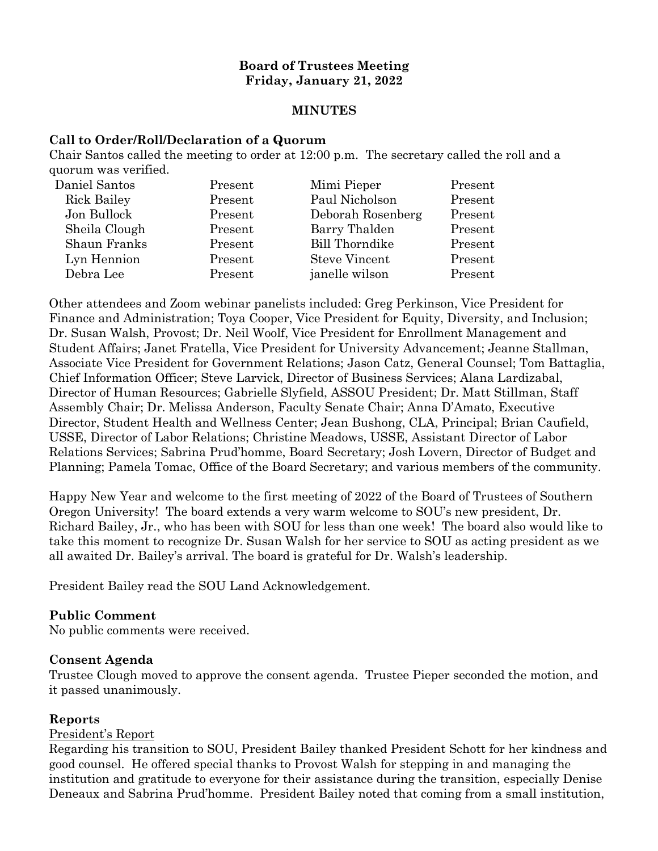### **Board of Trustees Meeting Friday, January 21, 2022**

#### **MINUTES**

#### **Call to Order/Roll/Declaration of a Quorum**

Chair Santos called the meeting to order at 12:00 p.m. The secretary called the roll and a quorum was verified.

| Daniel Santos      | Present | Mimi Pieper           | Present |
|--------------------|---------|-----------------------|---------|
| <b>Rick Bailey</b> | Present | Paul Nicholson        | Present |
| Jon Bullock        | Present | Deborah Rosenberg     | Present |
| Sheila Clough      | Present | Barry Thalden         | Present |
| Shaun Franks       | Present | <b>Bill Thorndike</b> | Present |
| Lyn Hennion        | Present | <b>Steve Vincent</b>  | Present |
| Debra Lee          | Present | janelle wilson        | Present |
|                    |         |                       |         |

Other attendees and Zoom webinar panelists included: Greg Perkinson, Vice President for Finance and Administration; Toya Cooper, Vice President for Equity, Diversity, and Inclusion; Dr. Susan Walsh, Provost; Dr. Neil Woolf, Vice President for Enrollment Management and Student Affairs; Janet Fratella, Vice President for University Advancement; Jeanne Stallman, Associate Vice President for Government Relations; Jason Catz, General Counsel; Tom Battaglia, Chief Information Officer; Steve Larvick, Director of Business Services; Alana Lardizabal, Director of Human Resources; Gabrielle Slyfield, ASSOU President; Dr. Matt Stillman, Staff Assembly Chair; Dr. Melissa Anderson, Faculty Senate Chair; Anna D'Amato, Executive Director, Student Health and Wellness Center; Jean Bushong, CLA, Principal; Brian Caufield, USSE, Director of Labor Relations; Christine Meadows, USSE, Assistant Director of Labor Relations Services; Sabrina Prud'homme, Board Secretary; Josh Lovern, Director of Budget and Planning; Pamela Tomac, Office of the Board Secretary; and various members of the community.

Happy New Year and welcome to the first meeting of 2022 of the Board of Trustees of Southern Oregon University! The board extends a very warm welcome to SOU's new president, Dr. Richard Bailey, Jr., who has been with SOU for less than one week! The board also would like to take this moment to recognize Dr. Susan Walsh for her service to SOU as acting president as we all awaited Dr. Bailey's arrival. The board is grateful for Dr. Walsh's leadership.

President Bailey read the SOU Land Acknowledgement.

## **Public Comment**

No public comments were received.

#### **Consent Agenda**

Trustee Clough moved to approve the consent agenda. Trustee Pieper seconded the motion, and it passed unanimously.

#### **Reports**

#### President's Report

Regarding his transition to SOU, President Bailey thanked President Schott for her kindness and good counsel. He offered special thanks to Provost Walsh for stepping in and managing the institution and gratitude to everyone for their assistance during the transition, especially Denise Deneaux and Sabrina Prud'homme. President Bailey noted that coming from a small institution,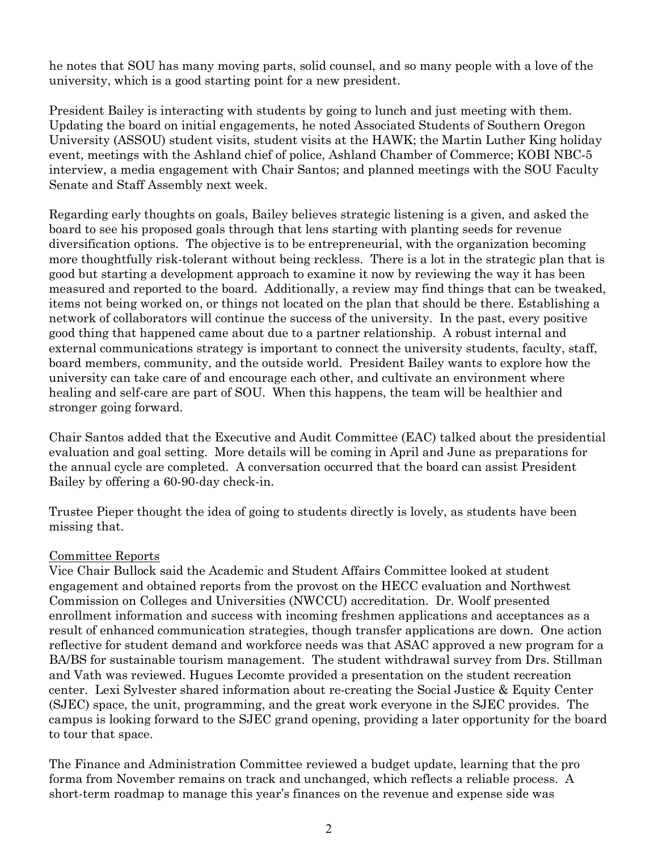he notes that SOU has many moving parts, solid counsel, and so many people with a love of the university, which is a good starting point for a new president.

President Bailey is interacting with students by going to lunch and just meeting with them. Updating the board on initial engagements, he noted Associated Students of Southern Oregon University (ASSOU) student visits, student visits at the HAWK; the Martin Luther King holiday event, meetings with the Ashland chief of police, Ashland Chamber of Commerce; KOBI NBC-5 interview, a media engagement with Chair Santos; and planned meetings with the SOU Faculty Senate and Staff Assembly next week.

Regarding early thoughts on goals, Bailey believes strategic listening is a given, and asked the board to see his proposed goals through that lens starting with planting seeds for revenue diversification options. The objective is to be entrepreneurial, with the organization becoming more thoughtfully risk-tolerant without being reckless. There is a lot in the strategic plan that is good but starting a development approach to examine it now by reviewing the way it has been measured and reported to the board. Additionally, a review may find things that can be tweaked, items not being worked on, or things not located on the plan that should be there. Establishing a network of collaborators will continue the success of the university. In the past, every positive good thing that happened came about due to a partner relationship. A robust internal and external communications strategy is important to connect the university students, faculty, staff, board members, community, and the outside world. President Bailey wants to explore how the university can take care of and encourage each other, and cultivate an environment where healing and self-care are part of SOU. When this happens, the team will be healthier and stronger going forward.

Chair Santos added that the Executive and Audit Committee (EAC) talked about the presidential evaluation and goal setting. More details will be coming in April and June as preparations for the annual cycle are completed. A conversation occurred that the board can assist President Bailey by offering a 60-90-day check-in.

Trustee Pieper thought the idea of going to students directly is lovely, as students have been missing that.

#### Committee Reports

Vice Chair Bullock said the Academic and Student Affairs Committee looked at student engagement and obtained reports from the provost on the HECC evaluation and Northwest Commission on Colleges and Universities (NWCCU) accreditation. Dr. Woolf presented enrollment information and success with incoming freshmen applications and acceptances as a result of enhanced communication strategies, though transfer applications are down. One action reflective for student demand and workforce needs was that ASAC approved a new program for a BA/BS for sustainable tourism management. The student withdrawal survey from Drs. Stillman and Vath was reviewed. Hugues Lecomte provided a presentation on the student recreation center. Lexi Sylvester shared information about re-creating the Social Justice & Equity Center (SJEC) space, the unit, programming, and the great work everyone in the SJEC provides. The campus is looking forward to the SJEC grand opening, providing a later opportunity for the board to tour that space.

The Finance and Administration Committee reviewed a budget update, learning that the pro forma from November remains on track and unchanged, which reflects a reliable process. A short-term roadmap to manage this year's finances on the revenue and expense side was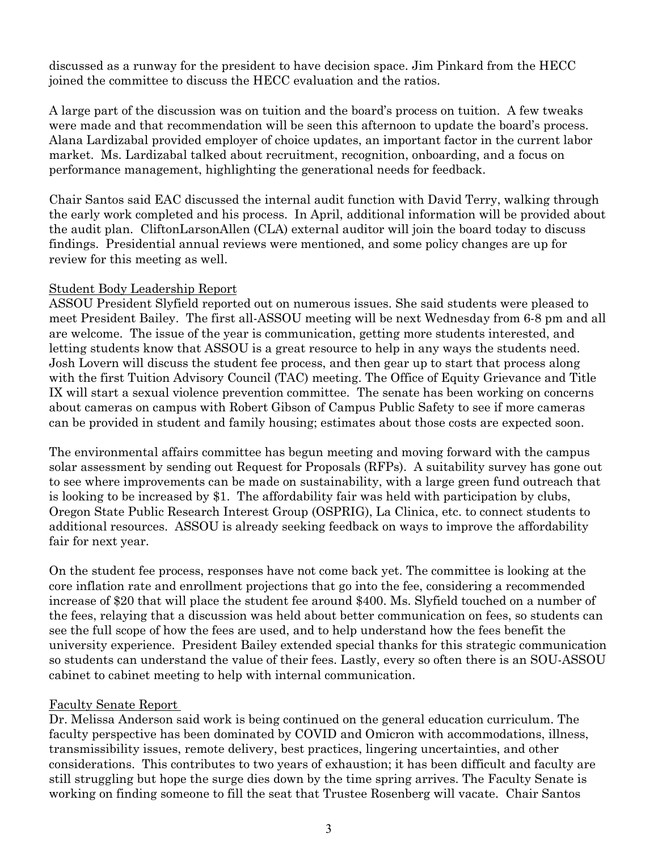discussed as a runway for the president to have decision space. Jim Pinkard from the HECC joined the committee to discuss the HECC evaluation and the ratios.

A large part of the discussion was on tuition and the board's process on tuition. A few tweaks were made and that recommendation will be seen this afternoon to update the board's process. Alana Lardizabal provided employer of choice updates, an important factor in the current labor market. Ms. Lardizabal talked about recruitment, recognition, onboarding, and a focus on performance management, highlighting the generational needs for feedback.

Chair Santos said EAC discussed the internal audit function with David Terry, walking through the early work completed and his process. In April, additional information will be provided about the audit plan. CliftonLarsonAllen (CLA) external auditor will join the board today to discuss findings. Presidential annual reviews were mentioned, and some policy changes are up for review for this meeting as well.

### Student Body Leadership Report

ASSOU President Slyfield reported out on numerous issues. She said students were pleased to meet President Bailey. The first all-ASSOU meeting will be next Wednesday from 6-8 pm and all are welcome. The issue of the year is communication, getting more students interested, and letting students know that ASSOU is a great resource to help in any ways the students need. Josh Lovern will discuss the student fee process, and then gear up to start that process along with the first Tuition Advisory Council (TAC) meeting. The Office of Equity Grievance and Title IX will start a sexual violence prevention committee. The senate has been working on concerns about cameras on campus with Robert Gibson of Campus Public Safety to see if more cameras can be provided in student and family housing; estimates about those costs are expected soon.

The environmental affairs committee has begun meeting and moving forward with the campus solar assessment by sending out Request for Proposals (RFPs). A suitability survey has gone out to see where improvements can be made on sustainability, with a large green fund outreach that is looking to be increased by \$1. The affordability fair was held with participation by clubs, Oregon State Public Research Interest Group (OSPRIG), La Clinica, etc. to connect students to additional resources. ASSOU is already seeking feedback on ways to improve the affordability fair for next year.

On the student fee process, responses have not come back yet. The committee is looking at the core inflation rate and enrollment projections that go into the fee, considering a recommended increase of \$20 that will place the student fee around \$400. Ms. Slyfield touched on a number of the fees, relaying that a discussion was held about better communication on fees, so students can see the full scope of how the fees are used, and to help understand how the fees benefit the university experience. President Bailey extended special thanks for this strategic communication so students can understand the value of their fees. Lastly, every so often there is an SOU-ASSOU cabinet to cabinet meeting to help with internal communication.

## Faculty Senate Report

Dr. Melissa Anderson said work is being continued on the general education curriculum. The faculty perspective has been dominated by COVID and Omicron with accommodations, illness, transmissibility issues, remote delivery, best practices, lingering uncertainties, and other considerations. This contributes to two years of exhaustion; it has been difficult and faculty are still struggling but hope the surge dies down by the time spring arrives. The Faculty Senate is working on finding someone to fill the seat that Trustee Rosenberg will vacate. Chair Santos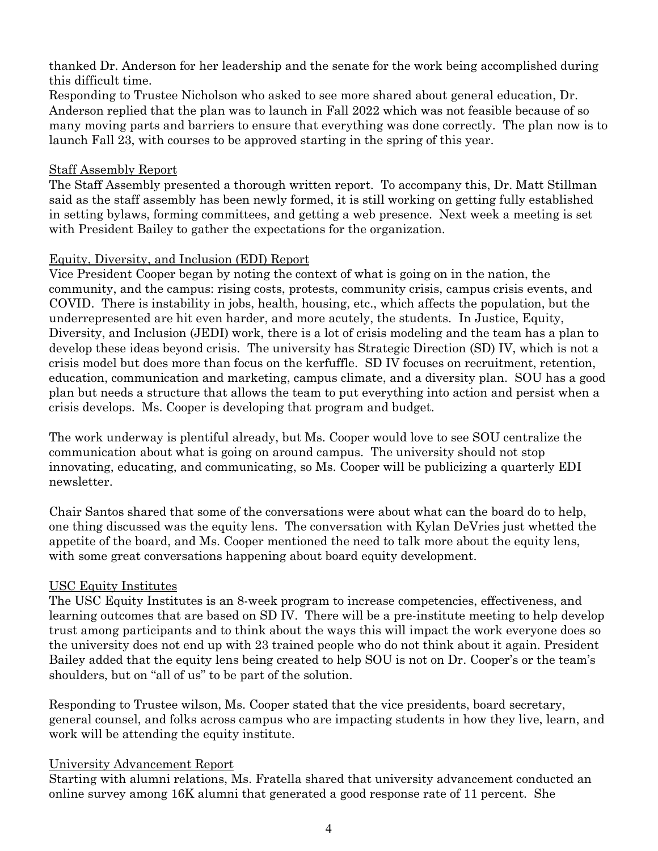thanked Dr. Anderson for her leadership and the senate for the work being accomplished during this difficult time.

Responding to Trustee Nicholson who asked to see more shared about general education, Dr. Anderson replied that the plan was to launch in Fall 2022 which was not feasible because of so many moving parts and barriers to ensure that everything was done correctly. The plan now is to launch Fall 23, with courses to be approved starting in the spring of this year.

### Staff Assembly Report

The Staff Assembly presented a thorough written report. To accompany this, Dr. Matt Stillman said as the staff assembly has been newly formed, it is still working on getting fully established in setting bylaws, forming committees, and getting a web presence. Next week a meeting is set with President Bailey to gather the expectations for the organization.

### Equity, Diversity, and Inclusion (EDI) Report

Vice President Cooper began by noting the context of what is going on in the nation, the community, and the campus: rising costs, protests, community crisis, campus crisis events, and COVID. There is instability in jobs, health, housing, etc., which affects the population, but the underrepresented are hit even harder, and more acutely, the students. In Justice, Equity, Diversity, and Inclusion (JEDI) work, there is a lot of crisis modeling and the team has a plan to develop these ideas beyond crisis. The university has Strategic Direction (SD) IV, which is not a crisis model but does more than focus on the kerfuffle. SD IV focuses on recruitment, retention, education, communication and marketing, campus climate, and a diversity plan. SOU has a good plan but needs a structure that allows the team to put everything into action and persist when a crisis develops. Ms. Cooper is developing that program and budget.

The work underway is plentiful already, but Ms. Cooper would love to see SOU centralize the communication about what is going on around campus. The university should not stop innovating, educating, and communicating, so Ms. Cooper will be publicizing a quarterly EDI newsletter.

Chair Santos shared that some of the conversations were about what can the board do to help, one thing discussed was the equity lens. The conversation with Kylan DeVries just whetted the appetite of the board, and Ms. Cooper mentioned the need to talk more about the equity lens, with some great conversations happening about board equity development.

## USC Equity Institutes

The USC Equity Institutes is an 8-week program to increase competencies, effectiveness, and learning outcomes that are based on SD IV. There will be a pre-institute meeting to help develop trust among participants and to think about the ways this will impact the work everyone does so the university does not end up with 23 trained people who do not think about it again. President Bailey added that the equity lens being created to help SOU is not on Dr. Cooper's or the team's shoulders, but on "all of us" to be part of the solution.

Responding to Trustee wilson, Ms. Cooper stated that the vice presidents, board secretary, general counsel, and folks across campus who are impacting students in how they live, learn, and work will be attending the equity institute.

#### University Advancement Report

Starting with alumni relations, Ms. Fratella shared that university advancement conducted an online survey among 16K alumni that generated a good response rate of 11 percent. She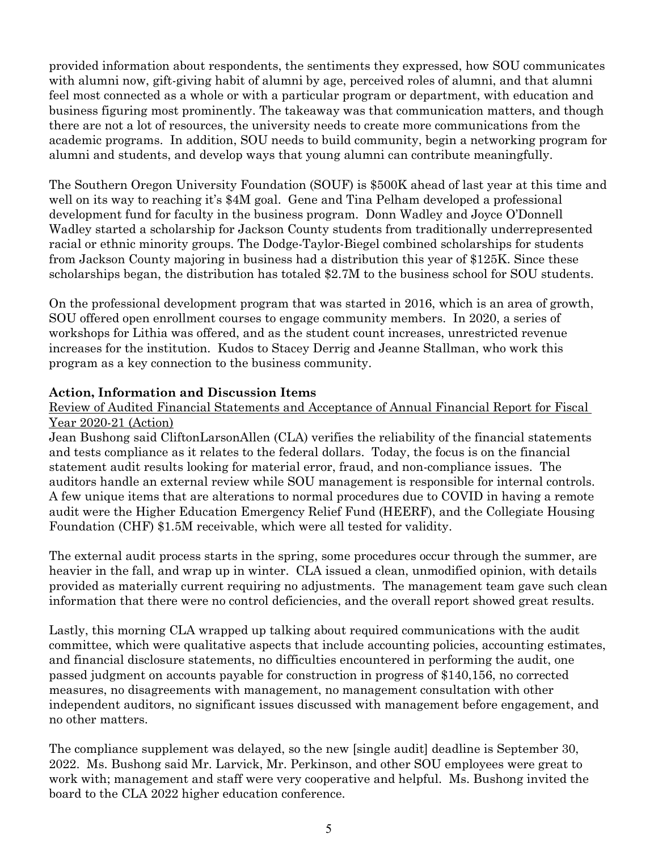provided information about respondents, the sentiments they expressed, how SOU communicates with alumni now, gift-giving habit of alumni by age, perceived roles of alumni, and that alumni feel most connected as a whole or with a particular program or department, with education and business figuring most prominently. The takeaway was that communication matters, and though there are not a lot of resources, the university needs to create more communications from the academic programs. In addition, SOU needs to build community, begin a networking program for alumni and students, and develop ways that young alumni can contribute meaningfully.

The Southern Oregon University Foundation (SOUF) is \$500K ahead of last year at this time and well on its way to reaching it's \$4M goal. Gene and Tina Pelham developed a professional development fund for faculty in the business program. Donn Wadley and Joyce O'Donnell Wadley started a scholarship for Jackson County students from traditionally underrepresented racial or ethnic minority groups. The Dodge-Taylor-Biegel combined scholarships for students from Jackson County majoring in business had a distribution this year of \$125K. Since these scholarships began, the distribution has totaled \$2.7M to the business school for SOU students.

On the professional development program that was started in 2016, which is an area of growth, SOU offered open enrollment courses to engage community members. In 2020, a series of workshops for Lithia was offered, and as the student count increases, unrestricted revenue increases for the institution. Kudos to Stacey Derrig and Jeanne Stallman, who work this program as a key connection to the business community.

## **Action, Information and Discussion Items**

## Review of Audited Financial Statements and Acceptance of Annual Financial Report for Fiscal Year 2020-21 (Action)

Jean Bushong said CliftonLarsonAllen (CLA) verifies the reliability of the financial statements and tests compliance as it relates to the federal dollars. Today, the focus is on the financial statement audit results looking for material error, fraud, and non-compliance issues. The auditors handle an external review while SOU management is responsible for internal controls. A few unique items that are alterations to normal procedures due to COVID in having a remote audit were the Higher Education Emergency Relief Fund (HEERF), and the Collegiate Housing Foundation (CHF) \$1.5M receivable, which were all tested for validity.

The external audit process starts in the spring, some procedures occur through the summer, are heavier in the fall, and wrap up in winter. CLA issued a clean, unmodified opinion, with details provided as materially current requiring no adjustments. The management team gave such clean information that there were no control deficiencies, and the overall report showed great results.

Lastly, this morning CLA wrapped up talking about required communications with the audit committee, which were qualitative aspects that include accounting policies, accounting estimates, and financial disclosure statements, no difficulties encountered in performing the audit, one passed judgment on accounts payable for construction in progress of \$140,156, no corrected measures, no disagreements with management, no management consultation with other independent auditors, no significant issues discussed with management before engagement, and no other matters.

The compliance supplement was delayed, so the new [single audit] deadline is September 30, 2022. Ms. Bushong said Mr. Larvick, Mr. Perkinson, and other SOU employees were great to work with; management and staff were very cooperative and helpful. Ms. Bushong invited the board to the CLA 2022 higher education conference.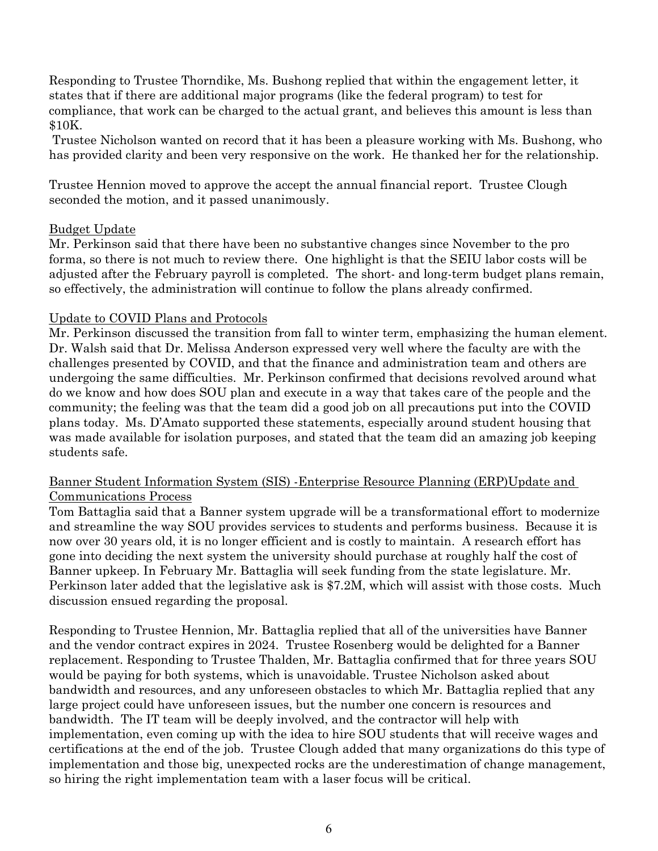Responding to Trustee Thorndike, Ms. Bushong replied that within the engagement letter, it states that if there are additional major programs (like the federal program) to test for compliance, that work can be charged to the actual grant, and believes this amount is less than \$10K.

Trustee Nicholson wanted on record that it has been a pleasure working with Ms. Bushong, who has provided clarity and been very responsive on the work. He thanked her for the relationship.

Trustee Hennion moved to approve the accept the annual financial report. Trustee Clough seconded the motion, and it passed unanimously.

#### Budget Update

Mr. Perkinson said that there have been no substantive changes since November to the pro forma, so there is not much to review there. One highlight is that the SEIU labor costs will be adjusted after the February payroll is completed. The short- and long-term budget plans remain, so effectively, the administration will continue to follow the plans already confirmed.

### Update to COVID Plans and Protocols

Mr. Perkinson discussed the transition from fall to winter term, emphasizing the human element. Dr. Walsh said that Dr. Melissa Anderson expressed very well where the faculty are with the challenges presented by COVID, and that the finance and administration team and others are undergoing the same difficulties. Mr. Perkinson confirmed that decisions revolved around what do we know and how does SOU plan and execute in a way that takes care of the people and the community; the feeling was that the team did a good job on all precautions put into the COVID plans today. Ms. D'Amato supported these statements, especially around student housing that was made available for isolation purposes, and stated that the team did an amazing job keeping students safe.

## Banner Student Information System (SIS) -Enterprise Resource Planning (ERP)Update and Communications Process

Tom Battaglia said that a Banner system upgrade will be a transformational effort to modernize and streamline the way SOU provides services to students and performs business. Because it is now over 30 years old, it is no longer efficient and is costly to maintain. A research effort has gone into deciding the next system the university should purchase at roughly half the cost of Banner upkeep. In February Mr. Battaglia will seek funding from the state legislature. Mr. Perkinson later added that the legislative ask is \$7.2M, which will assist with those costs. Much discussion ensued regarding the proposal.

Responding to Trustee Hennion, Mr. Battaglia replied that all of the universities have Banner and the vendor contract expires in 2024. Trustee Rosenberg would be delighted for a Banner replacement. Responding to Trustee Thalden, Mr. Battaglia confirmed that for three years SOU would be paying for both systems, which is unavoidable. Trustee Nicholson asked about bandwidth and resources, and any unforeseen obstacles to which Mr. Battaglia replied that any large project could have unforeseen issues, but the number one concern is resources and bandwidth. The IT team will be deeply involved, and the contractor will help with implementation, even coming up with the idea to hire SOU students that will receive wages and certifications at the end of the job. Trustee Clough added that many organizations do this type of implementation and those big, unexpected rocks are the underestimation of change management, so hiring the right implementation team with a laser focus will be critical.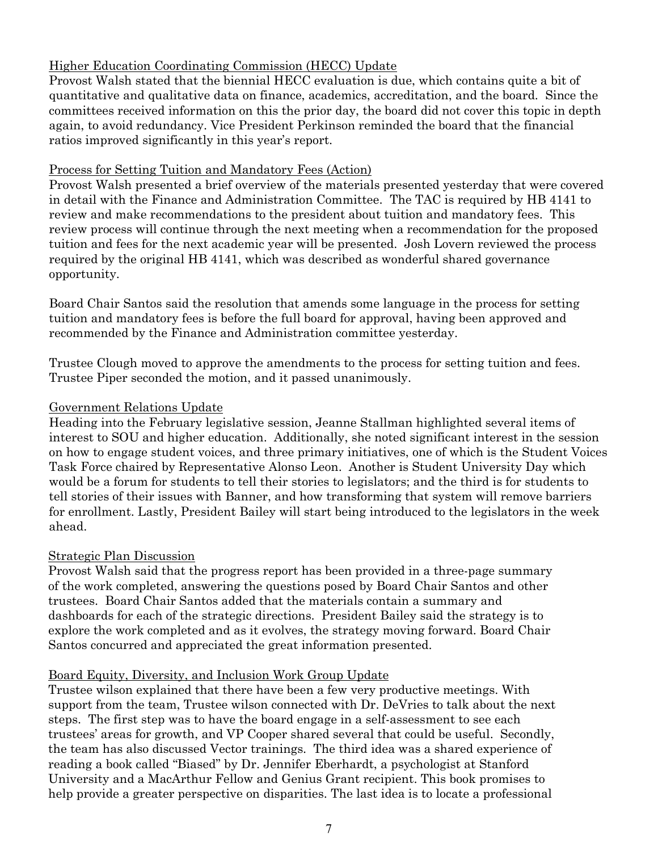# Higher Education Coordinating Commission (HECC) Update

Provost Walsh stated that the biennial HECC evaluation is due, which contains quite a bit of quantitative and qualitative data on finance, academics, accreditation, and the board. Since the committees received information on this the prior day, the board did not cover this topic in depth again, to avoid redundancy. Vice President Perkinson reminded the board that the financial ratios improved significantly in this year's report.

### Process for Setting Tuition and Mandatory Fees (Action)

Provost Walsh presented a brief overview of the materials presented yesterday that were covered in detail with the Finance and Administration Committee. The TAC is required by HB 4141 to review and make recommendations to the president about tuition and mandatory fees. This review process will continue through the next meeting when a recommendation for the proposed tuition and fees for the next academic year will be presented. Josh Lovern reviewed the process required by the original HB 4141, which was described as wonderful shared governance opportunity.

Board Chair Santos said the resolution that amends some language in the process for setting tuition and mandatory fees is before the full board for approval, having been approved and recommended by the Finance and Administration committee yesterday.

Trustee Clough moved to approve the amendments to the process for setting tuition and fees. Trustee Piper seconded the motion, and it passed unanimously.

## Government Relations Update

Heading into the February legislative session, Jeanne Stallman highlighted several items of interest to SOU and higher education. Additionally, she noted significant interest in the session on how to engage student voices, and three primary initiatives, one of which is the Student Voices Task Force chaired by Representative Alonso Leon. Another is Student University Day which would be a forum for students to tell their stories to legislators; and the third is for students to tell stories of their issues with Banner, and how transforming that system will remove barriers for enrollment. Lastly, President Bailey will start being introduced to the legislators in the week ahead.

## Strategic Plan Discussion

Provost Walsh said that the progress report has been provided in a three-page summary of the work completed, answering the questions posed by Board Chair Santos and other trustees. Board Chair Santos added that the materials contain a summary and dashboards for each of the strategic directions. President Bailey said the strategy is to explore the work completed and as it evolves, the strategy moving forward. Board Chair Santos concurred and appreciated the great information presented.

## Board Equity, Diversity, and Inclusion Work Group Update

Trustee wilson explained that there have been a few very productive meetings. With support from the team, Trustee wilson connected with Dr. DeVries to talk about the next steps. The first step was to have the board engage in a self-assessment to see each trustees' areas for growth, and VP Cooper shared several that could be useful. Secondly, the team has also discussed Vector trainings. The third idea was a shared experience of reading a book called "Biased" by Dr. Jennifer Eberhardt, a psychologist at Stanford University and a MacArthur Fellow and Genius Grant recipient. This book promises to help provide a greater perspective on disparities. The last idea is to locate a professional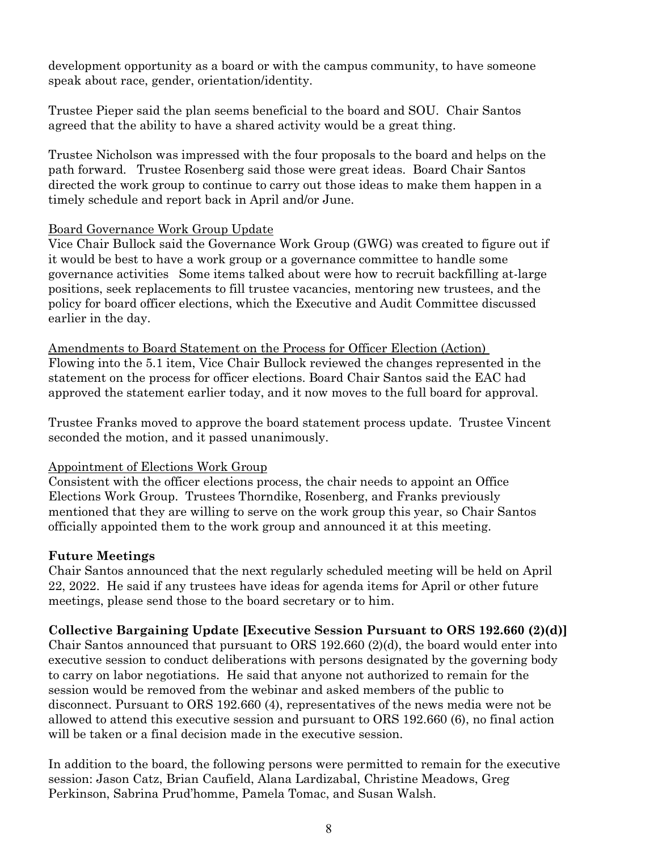development opportunity as a board or with the campus community, to have someone speak about race, gender, orientation/identity.

Trustee Pieper said the plan seems beneficial to the board and SOU. Chair Santos agreed that the ability to have a shared activity would be a great thing.

Trustee Nicholson was impressed with the four proposals to the board and helps on the path forward. Trustee Rosenberg said those were great ideas. Board Chair Santos directed the work group to continue to carry out those ideas to make them happen in a timely schedule and report back in April and/or June.

### Board Governance Work Group Update

Vice Chair Bullock said the Governance Work Group (GWG) was created to figure out if it would be best to have a work group or a governance committee to handle some governance activities Some items talked about were how to recruit backfilling at-large positions, seek replacements to fill trustee vacancies, mentoring new trustees, and the policy for board officer elections, which the Executive and Audit Committee discussed earlier in the day.

Amendments to Board Statement on the Process for Officer Election (Action) Flowing into the 5.1 item, Vice Chair Bullock reviewed the changes represented in the statement on the process for officer elections. Board Chair Santos said the EAC had approved the statement earlier today, and it now moves to the full board for approval.

Trustee Franks moved to approve the board statement process update. Trustee Vincent seconded the motion, and it passed unanimously.

## Appointment of Elections Work Group

Consistent with the officer elections process, the chair needs to appoint an Office Elections Work Group. Trustees Thorndike, Rosenberg, and Franks previously mentioned that they are willing to serve on the work group this year, so Chair Santos officially appointed them to the work group and announced it at this meeting.

## **Future Meetings**

Chair Santos announced that the next regularly scheduled meeting will be held on April 22, 2022. He said if any trustees have ideas for agenda items for April or other future meetings, please send those to the board secretary or to him.

## **Collective Bargaining Update [Executive Session Pursuant to ORS 192.660 (2)(d)]**

Chair Santos announced that pursuant to ORS 192.660 (2)(d), the board would enter into executive session to conduct deliberations with persons designated by the governing body to carry on labor negotiations. He said that anyone not authorized to remain for the session would be removed from the webinar and asked members of the public to disconnect. Pursuant to ORS 192.660 (4), representatives of the news media were not be allowed to attend this executive session and pursuant to ORS 192.660 (6), no final action will be taken or a final decision made in the executive session.

In addition to the board, the following persons were permitted to remain for the executive session: Jason Catz, Brian Caufield, Alana Lardizabal, Christine Meadows, Greg Perkinson, Sabrina Prud'homme, Pamela Tomac, and Susan Walsh.